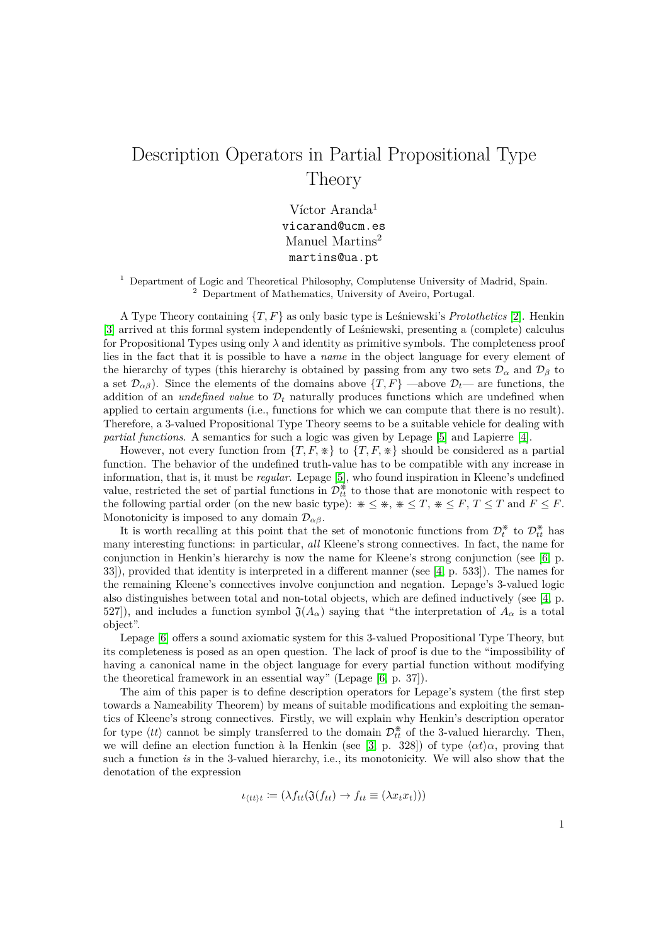## Description Operators in Partial Propositional Type Theory

Víctor Aranda<sup>1</sup> vicarand@ucm.es Manuel Martins<sup>2</sup> martins@ua.pt

<sup>1</sup> Department of Logic and Theoretical Philosophy, Complutense University of Madrid, Spain. <sup>2</sup> Department of Mathematics, University of Aveiro, Portugal.

A Type Theory containing {*T, F*} as only basic type is Leśniewski's *Protothetics* [\[2\]](#page-1-0). Henkin [\[3\]](#page-1-1) arrived at this formal system independently of Leśniewski, presenting a (complete) calculus for Propositional Types using only  $\lambda$  and identity as primitive symbols. The completeness proof lies in the fact that it is possible to have a *name* in the object language for every element of the hierarchy of types (this hierarchy is obtained by passing from any two sets  $\mathcal{D}_{\alpha}$  and  $\mathcal{D}_{\beta}$  to a set  $\mathcal{D}_{\alpha\beta}$ ). Since the elements of the domains above  $\{T, F\}$  —above  $\mathcal{D}_t$ — are functions, the addition of an *undefined value* to  $\mathcal{D}_t$  naturally produces functions which are undefined when applied to certain arguments (i.e., functions for which we can compute that there is no result). Therefore, a 3-valued Propositional Type Theory seems to be a suitable vehicle for dealing with *partial functions*. A semantics for such a logic was given by Lepage [\[5\]](#page-1-2) and Lapierre [\[4\]](#page-1-3).

However, not every function from  $\{T, F, \divideontimes\}$  to  $\{T, F, \divideontimes\}$  should be considered as a partial function. The behavior of the undefined truth-value has to be compatible with any increase in information, that is, it must be *regular*. Lepage [\[5\]](#page-1-2), who found inspiration in Kleene's undefined value, restricted the set of partial functions in  $\mathcal{D}_{tt}^*$  to those that are monotonic with respect to the following partial order (on the new basic type):  $* \leq *, * \leq T, * \leq F, T \leq T$  and  $F \leq F$ . Monotonicity is imposed to any domain  $\mathcal{D}_{\alpha\beta}$ .

It is worth recalling at this point that the set of monotonic functions from  $\mathcal{D}_{t}^{*}$  $v_t^*$  to  $\mathcal{D}_{tt}^*$  has many interesting functions: in particular, *all* Kleene's strong connectives. In fact, the name for conjunction in Henkin's hierarchy is now the name for Kleene's strong conjunction (see [\[6,](#page-2-0) p. 33]), provided that identity is interpreted in a different manner (see [\[4,](#page-1-3) p. 533]). The names for the remaining Kleene's connectives involve conjunction and negation. Lepage's 3-valued logic also distinguishes between total and non-total objects, which are defined inductively (see [\[4,](#page-1-3) p. 527]), and includes a function symbol  $\mathfrak{J}(A_{\alpha})$  saying that "the interpretation of  $A_{\alpha}$  is a total object".

Lepage [\[6\]](#page-2-0) offers a sound axiomatic system for this 3-valued Propositional Type Theory, but its completeness is posed as an open question. The lack of proof is due to the "impossibility of having a canonical name in the object language for every partial function without modifying the theoretical framework in an essential way" (Lepage [\[6,](#page-2-0) p. 37]).

The aim of this paper is to define description operators for Lepage's system (the first step towards a Nameability Theorem) by means of suitable modifications and exploiting the semantics of Kleene's strong connectives. Firstly, we will explain why Henkin's description operator for type  $\langle tt \rangle$  cannot be simply transferred to the domain  $\mathcal{D}_{tt}^*$  of the 3-valued hierarchy. Then, we will define an election function à la Henkin (see [\[3,](#page-1-1) p. 328]) of type  $\langle \alpha t \rangle \alpha$ , proving that such a function *is* in the 3-valued hierarchy, i.e., its monotonicity. We will also show that the denotation of the expression

$$
\iota_{\langle tt \rangle t} \coloneqq (\lambda f_{tt}(\mathfrak{J}(f_{tt}) \to f_{tt} \equiv (\lambda x_t x_t)))
$$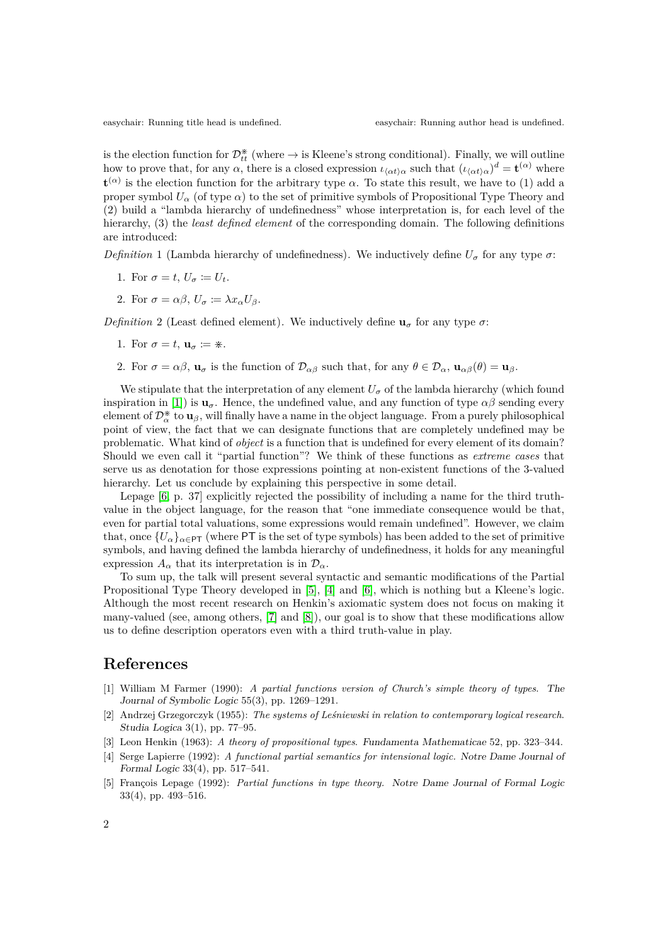is the election function for  $\mathcal{D}_{tt}^*$  (where  $\rightarrow$  is Kleene's strong conditional). Finally, we will outline how to prove that, for any  $\alpha$ , there is a closed expression  $\iota_{\langle \alpha t \rangle \alpha}$  such that  $(\iota_{\langle \alpha t \rangle \alpha})^d = \mathbf{t}^{(\alpha)}$  where  $\mathbf{t}^{(\alpha)}$  is the election function for the arbitrary type *α*. To state this result, we have to (1) add a proper symbol  $U_{\alpha}$  (of type  $\alpha$ ) to the set of primitive symbols of Propositional Type Theory and (2) build a "lambda hierarchy of undefinedness" whose interpretation is, for each level of the hierarchy, (3) the *least defined element* of the corresponding domain. The following definitions are introduced:

*Definition* 1 (Lambda hierarchy of undefinedness). We inductively define  $U_{\sigma}$  for any type  $\sigma$ :

- 1. For  $\sigma = t$ ,  $U_{\sigma} := U_t$ .
- 2. For  $\sigma = \alpha \beta$ ,  $U_{\sigma} \coloneqq \lambda x_{\alpha} U_{\beta}$ .

*Definition* 2 (Least defined element). We inductively define  $\mathbf{u}_{\sigma}$  for any type  $\sigma$ :

- 1. For  $\sigma = t$ ,  $\mathbf{u}_{\sigma} := *$ .
- 2. For  $\sigma = \alpha \beta$ ,  $\mathbf{u}_{\sigma}$  is the function of  $\mathcal{D}_{\alpha\beta}$  such that, for any  $\theta \in \mathcal{D}_{\alpha}$ ,  $\mathbf{u}_{\alpha\beta}(\theta) = \mathbf{u}_{\beta}$ .

We stipulate that the interpretation of any element  $U_{\sigma}$  of the lambda hierarchy (which found inspiration in [\[1\]](#page-1-4)) is  $\mathbf{u}_\sigma$ . Hence, the undefined value, and any function of type  $\alpha\beta$  sending every element of  $\mathcal{D}_{\alpha}^{*}$  to  $\mathbf{u}_{\beta}$ , will finally have a name in the object language. From a purely philosophical point of view, the fact that we can designate functions that are completely undefined may be problematic. What kind of *object* is a function that is undefined for every element of its domain? Should we even call it "partial function"? We think of these functions as *extreme cases* that serve us as denotation for those expressions pointing at non-existent functions of the 3-valued hierarchy. Let us conclude by explaining this perspective in some detail.

Lepage [\[6,](#page-2-0) p. 37] explicitly rejected the possibility of including a name for the third truthvalue in the object language, for the reason that "one immediate consequence would be that, even for partial total valuations, some expressions would remain undefined". However, we claim that, once  ${U_\alpha}_{\alpha \in \text{PT}}$  (where PT is the set of type symbols) has been added to the set of primitive symbols, and having defined the lambda hierarchy of undefinedness, it holds for any meaningful expression  $A_{\alpha}$  that its interpretation is in  $\mathcal{D}_{\alpha}$ .

To sum up, the talk will present several syntactic and semantic modifications of the Partial Propositional Type Theory developed in [\[5\]](#page-1-2), [\[4\]](#page-1-3) and [\[6\]](#page-2-0), which is nothing but a Kleene's logic. Although the most recent research on Henkin's axiomatic system does not focus on making it many-valued (see, among others, [\[7\]](#page-2-1) and [\[8\]](#page-2-2)), our goal is to show that these modifications allow us to define description operators even with a third truth-value in play.

## **References**

- <span id="page-1-4"></span>[1] William M Farmer (1990): *A partial functions version of Church's simple theory of types*. The Journal of Symbolic Logic 55(3), pp. 1269–1291.
- <span id="page-1-0"></span>[2] Andrzej Grzegorczyk (1955): *The systems of Leśniewski in relation to contemporary logical research*. Studia Logica 3(1), pp. 77–95.
- <span id="page-1-1"></span>[3] Leon Henkin (1963): *A theory of propositional types*. Fundamenta Mathematicae 52, pp. 323–344.
- <span id="page-1-3"></span>[4] Serge Lapierre (1992): *A functional partial semantics for intensional logic.* Notre Dame Journal of Formal Logic 33(4), pp. 517–541.
- <span id="page-1-2"></span>[5] François Lepage (1992): *Partial functions in type theory.* Notre Dame Journal of Formal Logic 33(4), pp. 493–516.